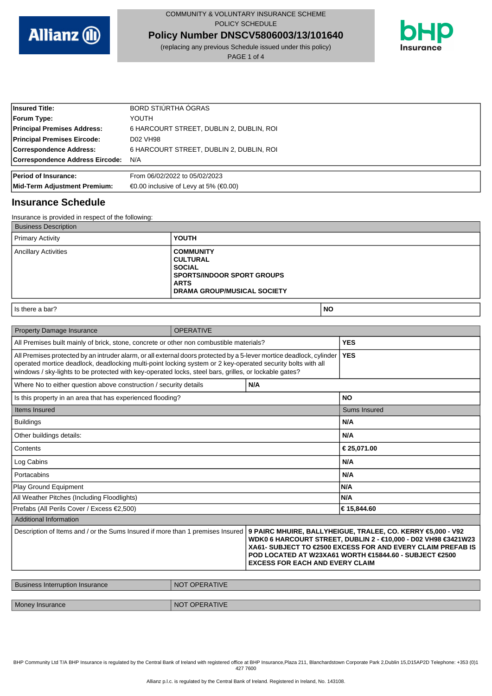

**Policy Number DNSCV5806003/13/101640**

(replacing any previous Schedule issued under this policy) PAGE 1 of 4



| <b>Insured Title:</b>              | BORD STIÚRTHA ÓGRAS                                        |
|------------------------------------|------------------------------------------------------------|
| <b>Forum Type:</b>                 | YOUTH                                                      |
| <b>Principal Premises Address:</b> | 6 HARCOURT STREET, DUBLIN 2, DUBLIN, ROI                   |
| <b>Principal Premises Eircode:</b> | D02 VH98                                                   |
| Correspondence Address:            | 6 HARCOURT STREET, DUBLIN 2, DUBLIN, ROI                   |
| Correspondence Address Eircode:    | N/A                                                        |
| <b>Period of Insurance:</b>        | From 06/02/2022 to 05/02/2023                              |
| Mid-Term Adjustment Premium:       | $\bigoplus$ .00 inclusive of Levy at 5% ( $\bigoplus$ .00) |

## **Insurance Schedule**

| Insurance is provided in respect of the following: |                                                                                                                                                |
|----------------------------------------------------|------------------------------------------------------------------------------------------------------------------------------------------------|
| <b>Business Description</b>                        |                                                                                                                                                |
| <b>Primary Activity</b>                            | <b>YOUTH</b>                                                                                                                                   |
| <b>Ancillary Activities</b>                        | <b>COMMUNITY</b><br><b>CULTURAL</b><br><b>SOCIAL</b><br><b>SPORTS/INDOOR SPORT GROUPS</b><br><b>ARTS</b><br><b>DRAMA GROUP/MUSICAL SOCIETY</b> |

## **Is there a bar? NO**

| <b>Property Damage Insurance</b>                                                                                                                                                                                                                                                                                                                                                   | <b>OPERATIVE</b> |            |              |
|------------------------------------------------------------------------------------------------------------------------------------------------------------------------------------------------------------------------------------------------------------------------------------------------------------------------------------------------------------------------------------|------------------|------------|--------------|
| All Premises built mainly of brick, stone, concrete or other non combustible materials?                                                                                                                                                                                                                                                                                            |                  | <b>YES</b> |              |
| All Premises protected by an intruder alarm, or all external doors protected by a 5-lever mortice deadlock, cylinder<br>operated mortice deadlock, deadlocking multi-point locking system or 2 key-operated security bolts with all<br>windows / sky-lights to be protected with key-operated locks, steel bars, grilles, or lockable gates?                                       |                  |            | <b>YES</b>   |
| N/A<br>Where No to either question above construction / security details                                                                                                                                                                                                                                                                                                           |                  |            |              |
| Is this property in an area that has experienced flooding?                                                                                                                                                                                                                                                                                                                         |                  | <b>NO</b>  |              |
| Items Insured                                                                                                                                                                                                                                                                                                                                                                      |                  |            | Sums Insured |
| <b>Buildings</b>                                                                                                                                                                                                                                                                                                                                                                   |                  |            | N/A          |
| Other buildings details:                                                                                                                                                                                                                                                                                                                                                           |                  |            | N/A          |
| Contents                                                                                                                                                                                                                                                                                                                                                                           |                  |            | €25,071.00   |
| Log Cabins                                                                                                                                                                                                                                                                                                                                                                         |                  |            | N/A          |
| Portacabins                                                                                                                                                                                                                                                                                                                                                                        |                  |            | N/A          |
| Play Ground Equipment                                                                                                                                                                                                                                                                                                                                                              |                  |            | N/A          |
| All Weather Pitches (Including Floodlights)                                                                                                                                                                                                                                                                                                                                        |                  |            | N/A          |
| Prefabs (All Perils Cover / Excess €2,500)                                                                                                                                                                                                                                                                                                                                         |                  | €15,844.60 |              |
| <b>Additional Information</b>                                                                                                                                                                                                                                                                                                                                                      |                  |            |              |
| Description of Items and / or the Sums Insured if more than 1 premises Insured<br>9 PAIRC MHUIRE, BALLYHEIGUE, TRALEE, CO. KERRY 65,000 - V92<br>WDK0 6 HARCOURT STREET. DUBLIN 2 - €10.000 - D02 VH98 €3421W23<br>XA61- SUBJECT TO €2500 EXCESS FOR AND EVERY CLAIM PREFAB IS<br>POD LOCATED AT W23XA61 WORTH €15844.60 - SUBJECT €2500<br><b>EXCESS FOR EACH AND EVERY CLAIM</b> |                  |            |              |

| <b>Business Interruption Insurance</b> | NOT OPERATIVE |
|----------------------------------------|---------------|
|                                        |               |
| Money Insurance                        | NOT OPERATIVE |

BHP Community Ltd T/A BHP Insurance is regulated by the Central Bank of Ireland with registered office at BHP Insurance,Plaza 211, Blanchardstown Corporate Park 2,Dublin 15,D15AP2D Telephone: +353 (0)1 427 7600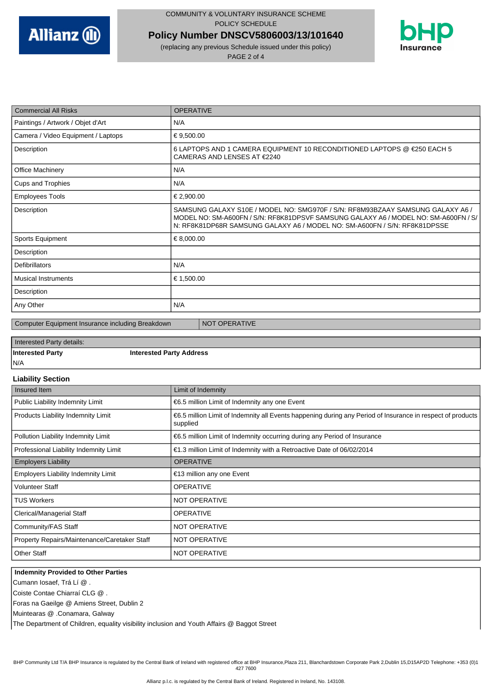

(replacing any previous Schedule issued under this policy) PAGE 2 of 4

**Policy Number DNSCV5806003/13/101640**



| <b>Commercial All Risks</b>        | <b>OPERATIVE</b>                                                                                                                                                                                                                                   |
|------------------------------------|----------------------------------------------------------------------------------------------------------------------------------------------------------------------------------------------------------------------------------------------------|
| Paintings / Artwork / Objet d'Art  | N/A                                                                                                                                                                                                                                                |
| Camera / Video Equipment / Laptops | €9,500.00                                                                                                                                                                                                                                          |
| Description                        | 6 LAPTOPS AND 1 CAMERA EQUIPMENT 10 RECONDITIONED LAPTOPS @ €250 EACH 5<br>CAMERAS AND LENSES AT €2240                                                                                                                                             |
| <b>Office Machinery</b>            | N/A                                                                                                                                                                                                                                                |
| Cups and Trophies                  | N/A                                                                                                                                                                                                                                                |
| <b>Employees Tools</b>             | €2,900.00                                                                                                                                                                                                                                          |
| Description                        | SAMSUNG GALAXY S10E / MODEL NO: SMG970F / S/N: RF8M93BZAAY SAMSUNG GALAXY A6 /<br>MODEL NO: SM-A600FN / S/N: RF8K81DPSVF SAMSUNG GALAXY A6 / MODEL NO: SM-A600FN / S/<br>N: RF8K81DP68R SAMSUNG GALAXY A6 / MODEL NO: SM-A600FN / S/N: RF8K81DPSSE |
| Sports Equipment                   | €8,000.00                                                                                                                                                                                                                                          |
| Description                        |                                                                                                                                                                                                                                                    |
| <b>Defibrillators</b>              | N/A                                                                                                                                                                                                                                                |
| <b>Musical Instruments</b>         | €1,500.00                                                                                                                                                                                                                                          |
| Description                        |                                                                                                                                                                                                                                                    |
| Any Other                          | N/A                                                                                                                                                                                                                                                |

Computer Equipment Insurance including Breakdown NOT OPERATIVE

# Interested Party details:

**Interested Party Interested Party Address**

# N/A

#### **Liability Section**

| Insured Item                                 | Limit of Indemnity                                                                                                     |
|----------------------------------------------|------------------------------------------------------------------------------------------------------------------------|
| Public Liability Indemnity Limit             | €6.5 million Limit of Indemnity any one Event                                                                          |
| Products Liability Indemnity Limit           | €6.5 million Limit of Indemnity all Events happening during any Period of Insurance in respect of products<br>supplied |
| Pollution Liability Indemnity Limit          | €6.5 million Limit of Indemnity occurring during any Period of Insurance                                               |
| Professional Liability Indemnity Limit       | €1.3 million Limit of Indemnity with a Retroactive Date of $06/02/2014$                                                |
| <b>Employers Liability</b>                   | <b>OPERATIVE</b>                                                                                                       |
| <b>Employers Liability Indemnity Limit</b>   | €13 million any one Event                                                                                              |
| <b>Volunteer Staff</b>                       | <b>OPERATIVE</b>                                                                                                       |
| <b>TUS Workers</b>                           | NOT OPERATIVE                                                                                                          |
| <b>Clerical/Managerial Staff</b>             | <b>OPERATIVE</b>                                                                                                       |
| Community/FAS Staff                          | NOT OPERATIVE                                                                                                          |
| Property Repairs/Maintenance/Caretaker Staff | <b>NOT OPERATIVE</b>                                                                                                   |
| <b>Other Staff</b>                           | <b>NOT OPERATIVE</b>                                                                                                   |

#### **Indemnity Provided to Other Parties**

Cumann Iosaef, Trá Lí @ .

Coiste Contae Chiarraí CLG @ .

Foras na Gaeilge @ Amiens Street, Dublin 2

Muintearas @ .Conamara, Galway

The Department of Children, equality visibility inclusion and Youth Affairs @ Baggot Street

BHP Community Ltd T/A BHP Insurance is regulated by the Central Bank of Ireland with registered office at BHP Insurance,Plaza 211, Blanchardstown Corporate Park 2,Dublin 15,D15AP2D Telephone: +353 (0)1 427 7600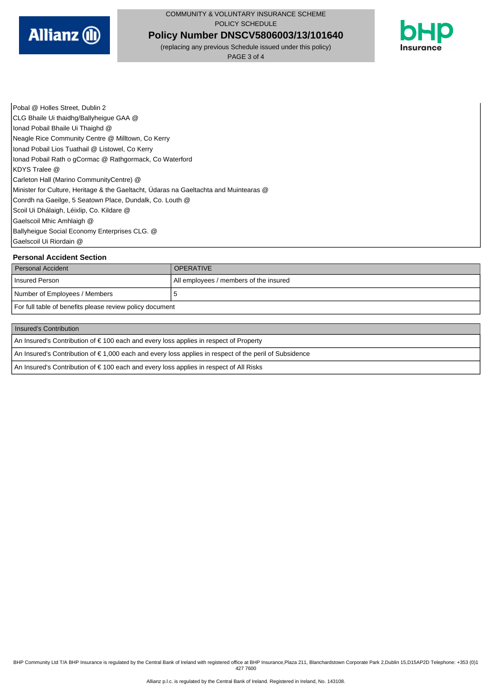

**Policy Number DNSCV5806003/13/101640**

(replacing any previous Schedule issued under this policy)

PAGE 3 of 4



Pobal @ Holles Street, Dublin 2 CLG Bhaile Ui thaidhg/Ballyheigue GAA @ Ionad Pobail Bhaile Ui Thaighd @ Neagle Rice Community Centre @ Milltown, Co Kerry Ionad Pobail Lios Tuathail @ Listowel, Co Kerry Ionad Pobail Rath o gCormac @ Rathgormack, Co Waterford KDYS Tralee @ Carleton Hall (Marino CommunityCentre) @ Minister for Culture, Heritage & the Gaeltacht, Údaras na Gaeltachta and Muintearas @ Conrdh na Gaeilge, 5 Seatown Place, Dundalk, Co. Louth @ Scoil Ui Dhálaigh, Léixlip, Co. Kildare @ Gaelscoil Mhic Amhlaigh @ Ballyheigue Social Economy Enterprises CLG. @ Gaelscoil Ui Riordain @

#### **Personal Accident Section**

| Personal Accident                                        | <b>OPERATIVE</b>                       |
|----------------------------------------------------------|----------------------------------------|
| I Insured Person                                         | All employees / members of the insured |
| Number of Employees / Members                            | €                                      |
| For full table of benefits please review policy document |                                        |

#### Insured's Contribution

An Insured's Contribution of € 100 each and every loss applies in respect of Property

An Insured's Contribution of € 1,000 each and every loss applies in respect of the peril of Subsidence

An Insured's Contribution of € 100 each and every loss applies in respect of All Risks